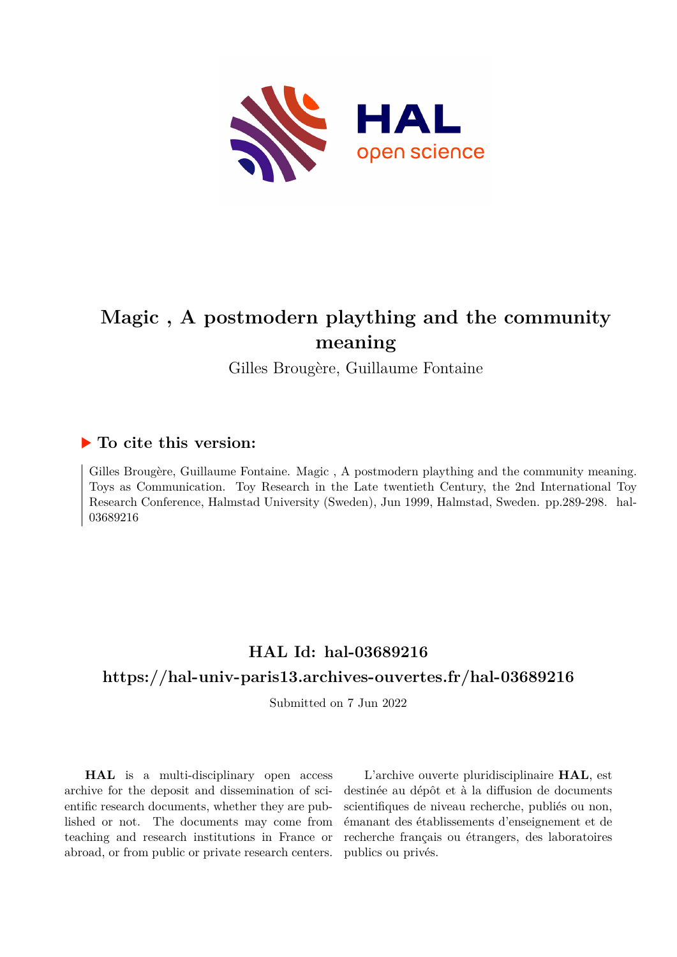

# **Magic , A postmodern plaything and the community meaning**

Gilles Brougère, Guillaume Fontaine

### **To cite this version:**

Gilles Brougère, Guillaume Fontaine. Magic , A postmodern plaything and the community meaning. Toys as Communication. Toy Research in the Late twentieth Century, the 2nd International Toy Research Conference, Halmstad University (Sweden), Jun 1999, Halmstad, Sweden. pp.289-298. hal-03689216

## **HAL Id: hal-03689216 <https://hal-univ-paris13.archives-ouvertes.fr/hal-03689216>**

Submitted on 7 Jun 2022

**HAL** is a multi-disciplinary open access archive for the deposit and dissemination of scientific research documents, whether they are published or not. The documents may come from teaching and research institutions in France or abroad, or from public or private research centers.

L'archive ouverte pluridisciplinaire **HAL**, est destinée au dépôt et à la diffusion de documents scientifiques de niveau recherche, publiés ou non, émanant des établissements d'enseignement et de recherche français ou étrangers, des laboratoires publics ou privés.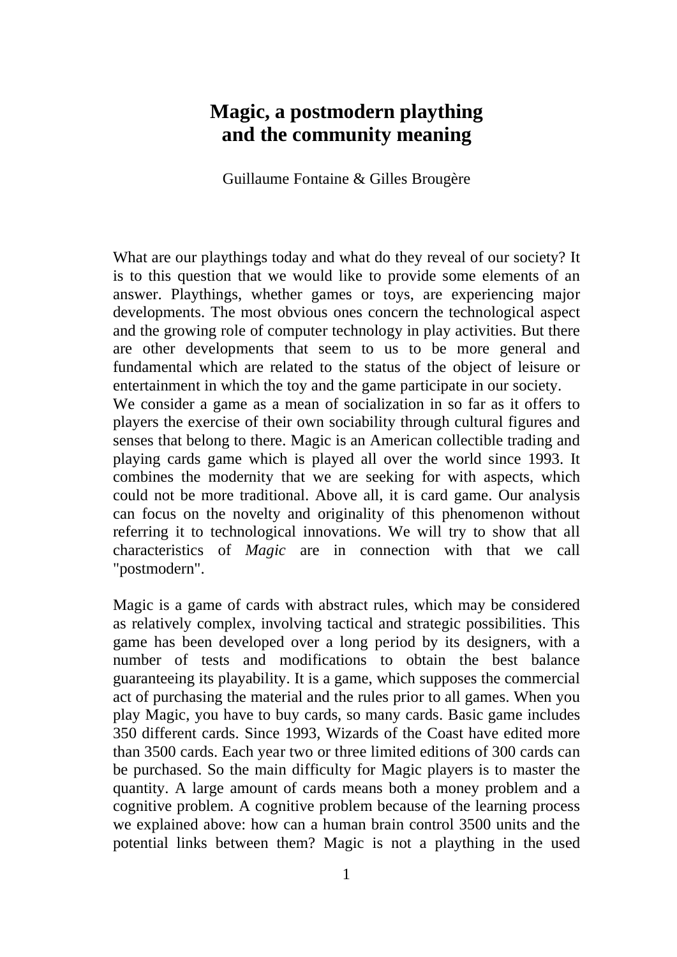## **Magic, a postmodern plaything and the community meaning**

Guillaume Fontaine & Gilles Brougère

What are our playthings today and what do they reveal of our society? It is to this question that we would like to provide some elements of an answer. Playthings, whether games or toys, are experiencing major developments. The most obvious ones concern the technological aspect and the growing role of computer technology in play activities. But there are other developments that seem to us to be more general and fundamental which are related to the status of the object of leisure or entertainment in which the toy and the game participate in our society. We consider a game as a mean of socialization in so far as it offers to players the exercise of their own sociability through cultural figures and senses that belong to there. Magic is an American collectible trading and playing cards game which is played all over the world since 1993. It combines the modernity that we are seeking for with aspects, which could not be more traditional. Above all, it is card game. Our analysis can focus on the novelty and originality of this phenomenon without referring it to technological innovations. We will try to show that all characteristics of *Magic* are in connection with that we call "postmodern".

Magic is a game of cards with abstract rules, which may be considered as relatively complex, involving tactical and strategic possibilities. This game has been developed over a long period by its designers, with a number of tests and modifications to obtain the best balance guaranteeing its playability. It is a game, which supposes the commercial act of purchasing the material and the rules prior to all games. When you play Magic, you have to buy cards, so many cards. Basic game includes 350 different cards. Since 1993, Wizards of the Coast have edited more than 3500 cards. Each year two or three limited editions of 300 cards can be purchased. So the main difficulty for Magic players is to master the quantity. A large amount of cards means both a money problem and a cognitive problem. A cognitive problem because of the learning process we explained above: how can a human brain control 3500 units and the potential links between them? Magic is not a plaything in the used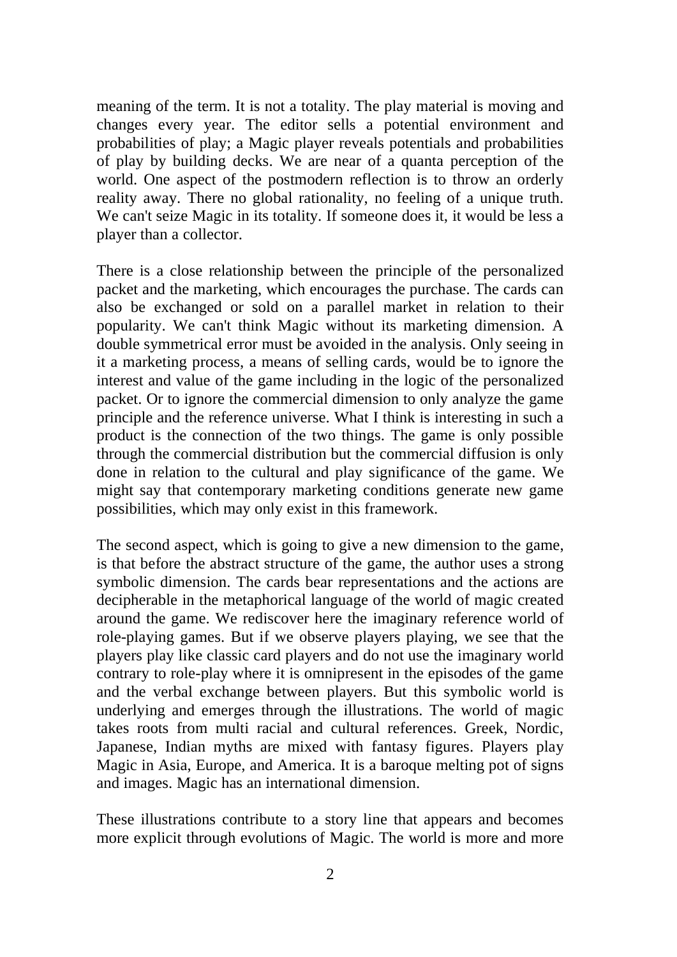meaning of the term. It is not a totality. The play material is moving and changes every year. The editor sells a potential environment and probabilities of play; a Magic player reveals potentials and probabilities of play by building decks. We are near of a quanta perception of the world. One aspect of the postmodern reflection is to throw an orderly reality away. There no global rationality, no feeling of a unique truth. We can't seize Magic in its totality. If someone does it, it would be less a player than a collector.

There is a close relationship between the principle of the personalized packet and the marketing, which encourages the purchase. The cards can also be exchanged or sold on a parallel market in relation to their popularity. We can't think Magic without its marketing dimension. A double symmetrical error must be avoided in the analysis. Only seeing in it a marketing process, a means of selling cards, would be to ignore the interest and value of the game including in the logic of the personalized packet. Or to ignore the commercial dimension to only analyze the game principle and the reference universe. What I think is interesting in such a product is the connection of the two things. The game is only possible through the commercial distribution but the commercial diffusion is only done in relation to the cultural and play significance of the game. We might say that contemporary marketing conditions generate new game possibilities, which may only exist in this framework.

The second aspect, which is going to give a new dimension to the game, is that before the abstract structure of the game, the author uses a strong symbolic dimension. The cards bear representations and the actions are decipherable in the metaphorical language of the world of magic created around the game. We rediscover here the imaginary reference world of role-playing games. But if we observe players playing, we see that the players play like classic card players and do not use the imaginary world contrary to role-play where it is omnipresent in the episodes of the game and the verbal exchange between players. But this symbolic world is underlying and emerges through the illustrations. The world of magic takes roots from multi racial and cultural references. Greek, Nordic, Japanese, Indian myths are mixed with fantasy figures. Players play Magic in Asia, Europe, and America. It is a baroque melting pot of signs and images. Magic has an international dimension.

These illustrations contribute to a story line that appears and becomes more explicit through evolutions of Magic. The world is more and more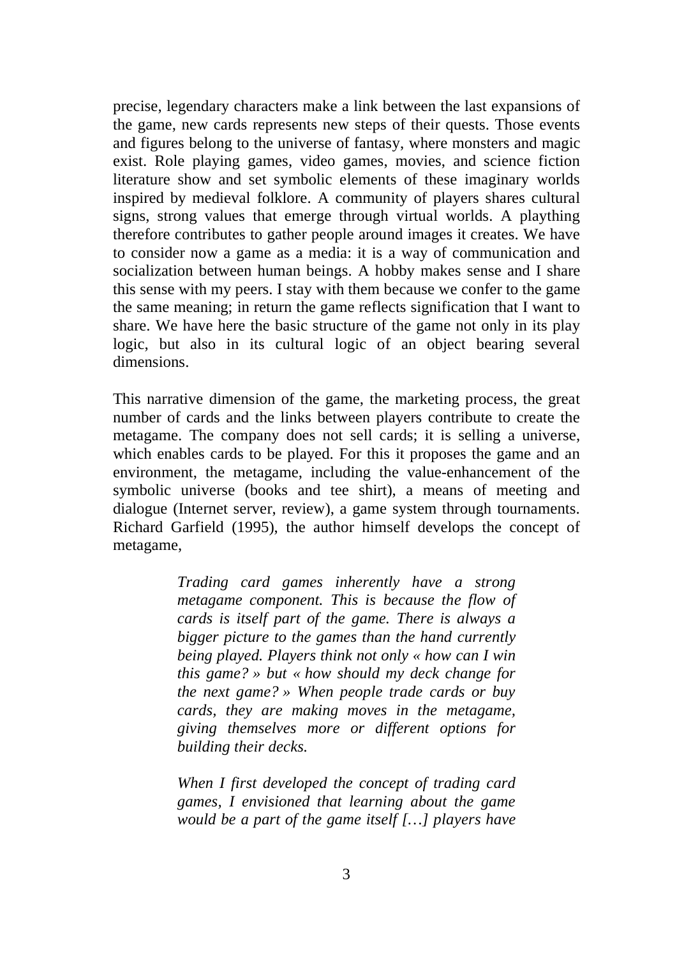precise, legendary characters make a link between the last expansions of the game, new cards represents new steps of their quests. Those events and figures belong to the universe of fantasy, where monsters and magic exist. Role playing games, video games, movies, and science fiction literature show and set symbolic elements of these imaginary worlds inspired by medieval folklore. A community of players shares cultural signs, strong values that emerge through virtual worlds. A plaything therefore contributes to gather people around images it creates. We have to consider now a game as a media: it is a way of communication and socialization between human beings. A hobby makes sense and I share this sense with my peers. I stay with them because we confer to the game the same meaning; in return the game reflects signification that I want to share. We have here the basic structure of the game not only in its play logic, but also in its cultural logic of an object bearing several dimensions.

This narrative dimension of the game, the marketing process, the great number of cards and the links between players contribute to create the metagame. The company does not sell cards; it is selling a universe, which enables cards to be played. For this it proposes the game and an environment, the metagame, including the value-enhancement of the symbolic universe (books and tee shirt), a means of meeting and dialogue (Internet server, review), a game system through tournaments. Richard Garfield (1995), the author himself develops the concept of metagame,

> *Trading card games inherently have a strong metagame component. This is because the flow of cards is itself part of the game. There is always a bigger picture to the games than the hand currently being played. Players think not only « how can I win this game? » but « how should my deck change for the next game? » When people trade cards or buy cards, they are making moves in the metagame, giving themselves more or different options for building their decks.*

> *When I first developed the concept of trading card games, I envisioned that learning about the game would be a part of the game itself […] players have*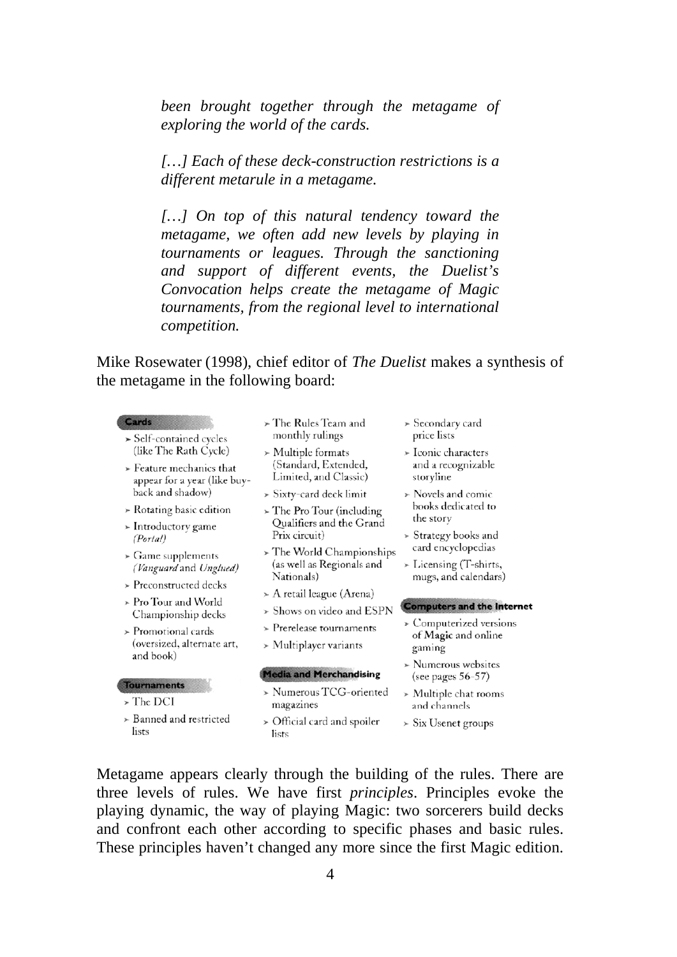*been brought together through the metagame of exploring the world of the cards.* 

*[…] Each of these deck-construction restrictions is a different metarule in a metagame.* 

*[…] On top of this natural tendency toward the metagame, we often add new levels by playing in tournaments or leagues. Through the sanctioning and support of different events, the Duelist's Convocation helps create the metagame of Magic tournaments, from the regional level to international competition.* 

Mike Rosewater (1998), chief editor of *The Duelist* makes a synthesis of the metagame in the following board:

#### Cards

- $\geq$  Self-contained cycles (like The Rath Cycle)
- $\triangleright$  Feature mechanics that appear for a year (like buyback and shadow)
- $\triangleright$  Rotating basic edition
- $\triangleright$  Introductory game (Portal)
- $\triangleright$  Game supplements (Vanguard and Unglued)
- $\triangleright$  Preconstructed decks
- > Pro Tour and World Championship decks
- $\geq$  Promotional cards (oversized, alternate art, and book)
- **Tournaments**
- > The DCI
- $\ge$  Banned and restricted lists
- > The Rules Team and monthly rulings
- $\triangleright$  Multiple formats (Standard, Extended, Limited, and Classic)
- $\triangleright$  Sixty-card deck limit
- $\sim$  The Pro Tour (including Qualifiers and the Grand Prix circuit)
- $\angle$  The World Championships (as well as Regionals and Nationals)
- $\triangleright$  A retail league (Arena)
- > Shows on video and ESPN
- $\triangleright$  Prerelease tournaments
- $>$  Multiplayer variants

#### **Media and Merchandising**

- > Numerous TCG-oriented magazines
- > Official card and spoiler lists
- $\geq$  Secondary card price lists
- > Iconic characters and a recognizable storvline
- $\triangleright$  Novels and comic books dedicated to the story
- > Strategy books and card encyclopedias
- > Licensing (T-shirts, mugs, and calendars)

#### **Computers and the Internet**

- $\geq$  Computerized versions of Magic and online gaming
- $\triangleright$  Numerous websites (see pages  $56-57$ )
- $>$  Multiple chat rooms and channels
- $\triangleright$  Six Usenet groups

Metagame appears clearly through the building of the rules. There are three levels of rules. We have first *principles*. Principles evoke the playing dynamic, the way of playing Magic: two sorcerers build decks and confront each other according to specific phases and basic rules. These principles haven't changed any more since the first Magic edition.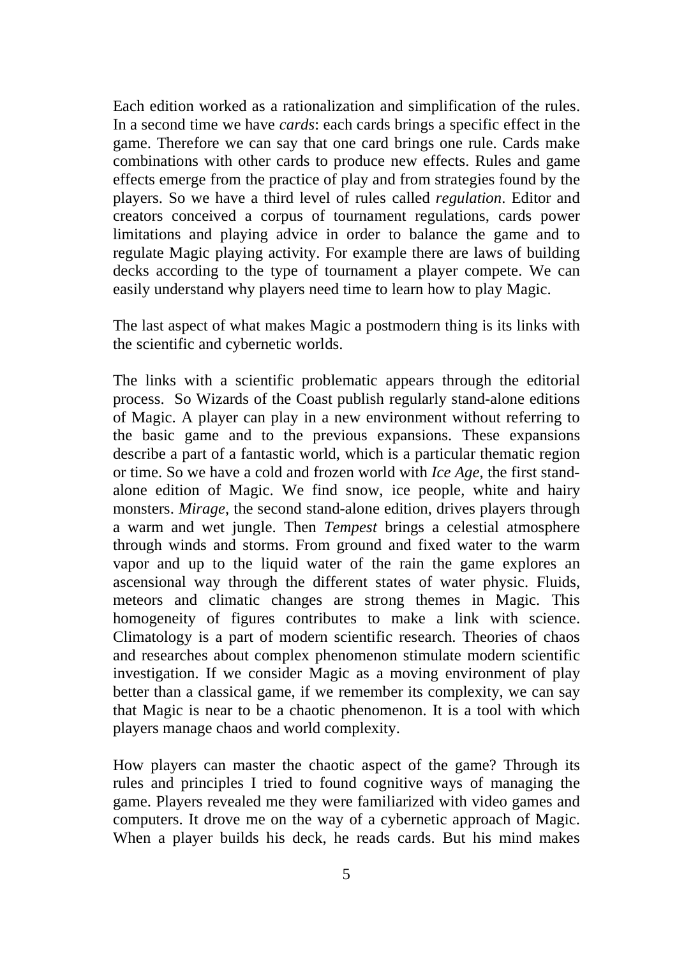Each edition worked as a rationalization and simplification of the rules. In a second time we have *cards*: each cards brings a specific effect in the game. Therefore we can say that one card brings one rule. Cards make combinations with other cards to produce new effects. Rules and game effects emerge from the practice of play and from strategies found by the players. So we have a third level of rules called *regulation*. Editor and creators conceived a corpus of tournament regulations, cards power limitations and playing advice in order to balance the game and to regulate Magic playing activity. For example there are laws of building decks according to the type of tournament a player compete. We can easily understand why players need time to learn how to play Magic.

The last aspect of what makes Magic a postmodern thing is its links with the scientific and cybernetic worlds.

The links with a scientific problematic appears through the editorial process. So Wizards of the Coast publish regularly stand-alone editions of Magic. A player can play in a new environment without referring to the basic game and to the previous expansions. These expansions describe a part of a fantastic world, which is a particular thematic region or time. So we have a cold and frozen world with *Ice Age*, the first standalone edition of Magic. We find snow, ice people, white and hairy monsters. *Mirage*, the second stand-alone edition, drives players through a warm and wet jungle. Then *Tempest* brings a celestial atmosphere through winds and storms. From ground and fixed water to the warm vapor and up to the liquid water of the rain the game explores an ascensional way through the different states of water physic. Fluids, meteors and climatic changes are strong themes in Magic. This homogeneity of figures contributes to make a link with science. Climatology is a part of modern scientific research. Theories of chaos and researches about complex phenomenon stimulate modern scientific investigation. If we consider Magic as a moving environment of play better than a classical game, if we remember its complexity, we can say that Magic is near to be a chaotic phenomenon. It is a tool with which players manage chaos and world complexity.

How players can master the chaotic aspect of the game? Through its rules and principles I tried to found cognitive ways of managing the game. Players revealed me they were familiarized with video games and computers. It drove me on the way of a cybernetic approach of Magic. When a player builds his deck, he reads cards. But his mind makes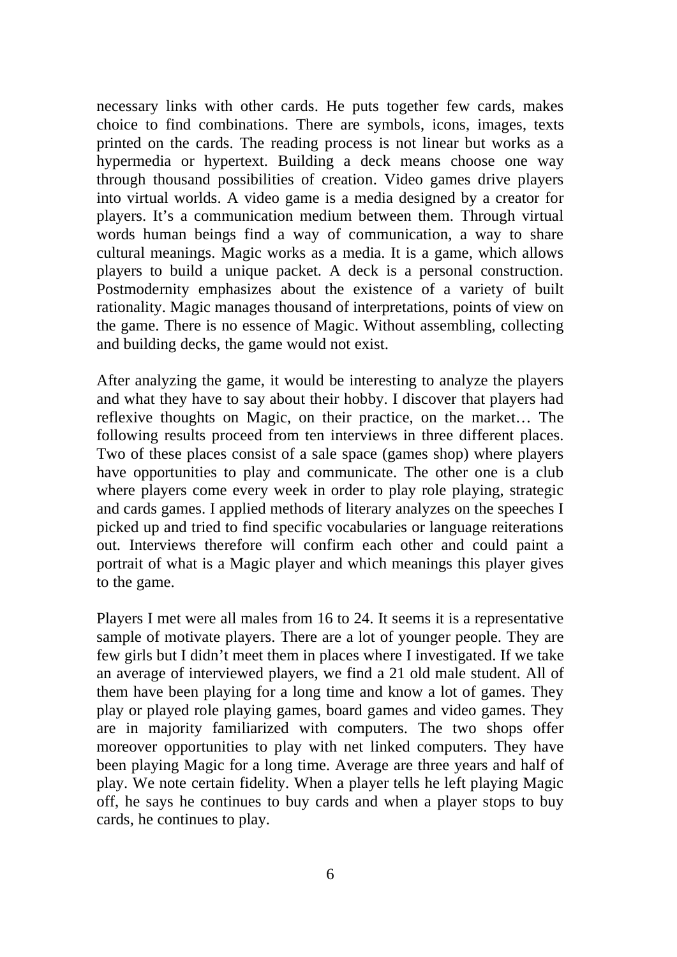necessary links with other cards. He puts together few cards, makes choice to find combinations. There are symbols, icons, images, texts printed on the cards. The reading process is not linear but works as a hypermedia or hypertext. Building a deck means choose one way through thousand possibilities of creation. Video games drive players into virtual worlds. A video game is a media designed by a creator for players. It's a communication medium between them. Through virtual words human beings find a way of communication, a way to share cultural meanings. Magic works as a media. It is a game, which allows players to build a unique packet. A deck is a personal construction. Postmodernity emphasizes about the existence of a variety of built rationality. Magic manages thousand of interpretations, points of view on the game. There is no essence of Magic. Without assembling, collecting and building decks, the game would not exist.

After analyzing the game, it would be interesting to analyze the players and what they have to say about their hobby. I discover that players had reflexive thoughts on Magic, on their practice, on the market… The following results proceed from ten interviews in three different places. Two of these places consist of a sale space (games shop) where players have opportunities to play and communicate. The other one is a club where players come every week in order to play role playing, strategic and cards games. I applied methods of literary analyzes on the speeches I picked up and tried to find specific vocabularies or language reiterations out. Interviews therefore will confirm each other and could paint a portrait of what is a Magic player and which meanings this player gives to the game.

Players I met were all males from 16 to 24. It seems it is a representative sample of motivate players. There are a lot of younger people. They are few girls but I didn't meet them in places where I investigated. If we take an average of interviewed players, we find a 21 old male student. All of them have been playing for a long time and know a lot of games. They play or played role playing games, board games and video games. They are in majority familiarized with computers. The two shops offer moreover opportunities to play with net linked computers. They have been playing Magic for a long time. Average are three years and half of play. We note certain fidelity. When a player tells he left playing Magic off, he says he continues to buy cards and when a player stops to buy cards, he continues to play.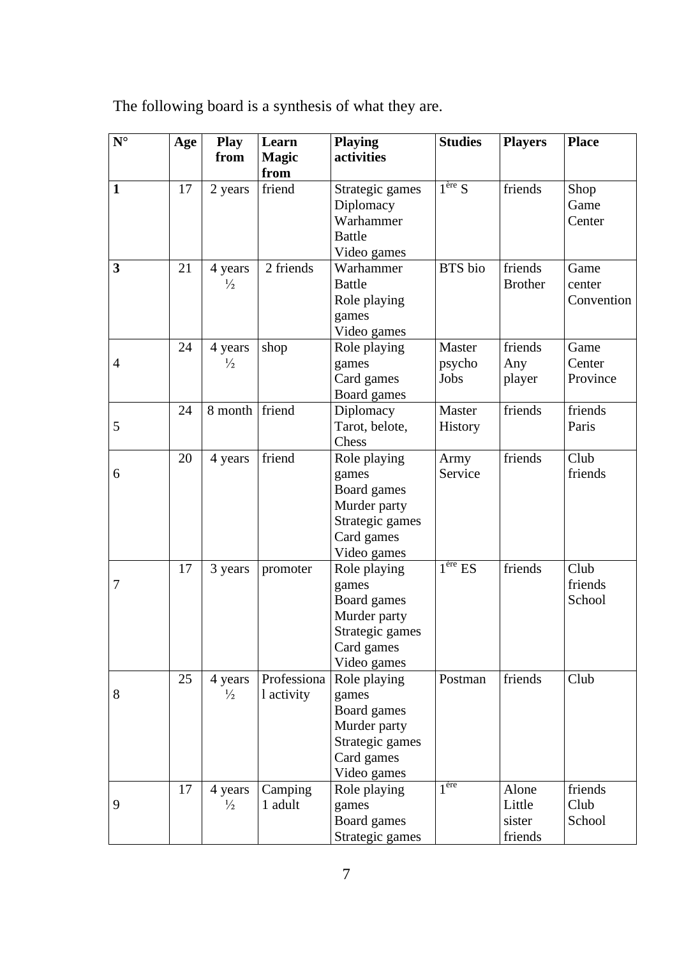| The following board is a synthesis of what they are. |  |  |
|------------------------------------------------------|--|--|
|                                                      |  |  |

| $N^{\circ}$    | Age | <b>Play</b><br>from      | Learn<br><b>Magic</b><br>from | <b>Playing</b><br>activities                                                                         | <b>Studies</b>           | <b>Players</b>                       | <b>Place</b>                 |
|----------------|-----|--------------------------|-------------------------------|------------------------------------------------------------------------------------------------------|--------------------------|--------------------------------------|------------------------------|
| $\mathbf{1}$   | 17  | 2 years                  | friend                        | Strategic games<br>Diplomacy<br>Warhammer<br><b>Battle</b><br>Video games                            | $1^{\text{ère}} S$       | friends                              | Shop<br>Game<br>Center       |
| 3              | 21  | 4 years<br>$\frac{1}{2}$ | 2 friends                     | Warhammer<br><b>Battle</b><br>Role playing<br>games<br>Video games                                   | BTS bio                  | friends<br><b>Brother</b>            | Game<br>center<br>Convention |
| $\overline{4}$ | 24  | 4 years<br>$\frac{1}{2}$ | shop                          | Role playing<br>games<br>Card games<br>Board games                                                   | Master<br>psycho<br>Jobs | friends<br>Any<br>player             | Game<br>Center<br>Province   |
| 5              | 24  | 8 month friend           |                               | Diplomacy<br>Tarot, belote,<br>Chess                                                                 | Master<br>History        | friends                              | friends<br>Paris             |
| 6              | 20  | 4 years                  | friend                        | Role playing<br>games<br>Board games<br>Murder party<br>Strategic games<br>Card games<br>Video games | Army<br>Service          | friends                              | Club<br>friends              |
| 7              | 17  | 3 years                  | promoter                      | Role playing<br>games<br>Board games<br>Murder party<br>Strategic games<br>Card games<br>Video games | 1 <sup>ère</sup> ES      | friends                              | Club<br>friends<br>School    |
| 8              | 25  | 4 years<br>$\frac{1}{2}$ | Professiona<br>1 activity     | Role playing<br>games<br>Board games<br>Murder party<br>Strategic games<br>Card games<br>Video games | Postman                  | friends                              | Club                         |
| 9              | 17  | 4 years<br>$\frac{1}{2}$ | Camping<br>1 adult            | Role playing<br>games<br>Board games<br>Strategic games                                              | 1 <sup>ère</sup>         | Alone<br>Little<br>sister<br>friends | friends<br>Club<br>School    |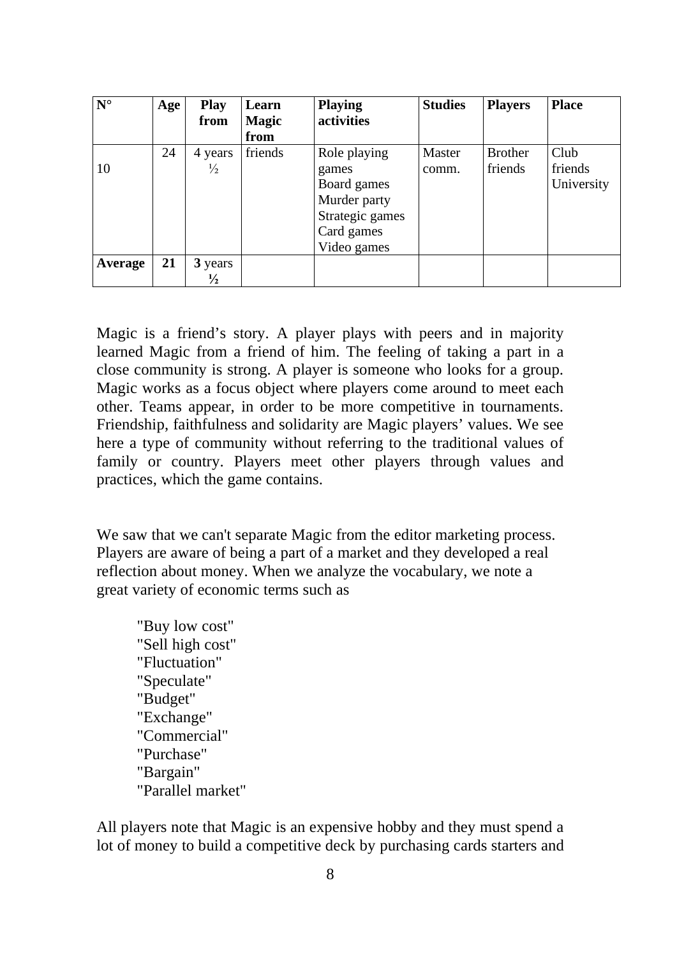| $N^{\circ}$ | Age | <b>Play</b><br>from | Learn<br><b>Magic</b> | <b>Playing</b><br>activities | <b>Studies</b> | <b>Players</b> | <b>Place</b> |
|-------------|-----|---------------------|-----------------------|------------------------------|----------------|----------------|--------------|
|             |     |                     | from                  |                              |                |                |              |
|             | 24  | 4 years             | friends               | Role playing                 | Master         | <b>Brother</b> | Club         |
| 10          |     | $\frac{1}{2}$       |                       | games                        | comm.          | friends        | friends      |
|             |     |                     |                       | Board games                  |                |                | University   |
|             |     |                     |                       | Murder party                 |                |                |              |
|             |     |                     |                       | Strategic games              |                |                |              |
|             |     |                     |                       | Card games                   |                |                |              |
|             |     |                     |                       | Video games                  |                |                |              |
| Average     | 21  | 3 years             |                       |                              |                |                |              |
|             |     | $\frac{1}{2}$       |                       |                              |                |                |              |

Magic is a friend's story. A player plays with peers and in majority learned Magic from a friend of him. The feeling of taking a part in a close community is strong. A player is someone who looks for a group. Magic works as a focus object where players come around to meet each other. Teams appear, in order to be more competitive in tournaments. Friendship, faithfulness and solidarity are Magic players' values. We see here a type of community without referring to the traditional values of family or country. Players meet other players through values and practices, which the game contains.

We saw that we can't separate Magic from the editor marketing process. Players are aware of being a part of a market and they developed a real reflection about money. When we analyze the vocabulary, we note a great variety of economic terms such as

"Buy low cost" "Sell high cost" "Fluctuation" "Speculate" "Budget" "Exchange" "Commercial" "Purchase" "Bargain" "Parallel market"

All players note that Magic is an expensive hobby and they must spend a lot of money to build a competitive deck by purchasing cards starters and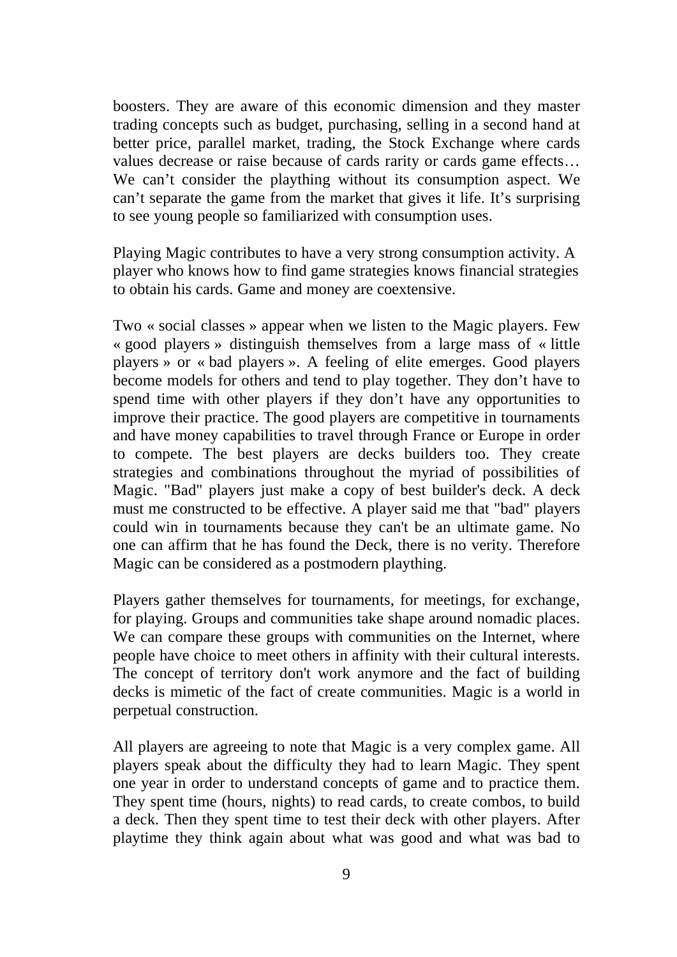boosters. They are aware of this economic dimension and they master trading concepts such as budget, purchasing, selling in a second hand at better price, parallel market, trading, the Stock Exchange where cards values decrease or raise because of cards rarity or cards game effects… We can't consider the plaything without its consumption aspect. We can't separate the game from the market that gives it life. It's surprising to see young people so familiarized with consumption uses.

Playing Magic contributes to have a very strong consumption activity. A player who knows how to find game strategies knows financial strategies to obtain his cards. Game and money are coextensive.

Two « social classes » appear when we listen to the Magic players. Few « good players » distinguish themselves from a large mass of « little players » or « bad players ». A feeling of elite emerges. Good players become models for others and tend to play together. They don't have to spend time with other players if they don't have any opportunities to improve their practice. The good players are competitive in tournaments and have money capabilities to travel through France or Europe in order to compete. The best players are decks builders too. They create strategies and combinations throughout the myriad of possibilities of Magic. "Bad" players just make a copy of best builder's deck. A deck must me constructed to be effective. A player said me that "bad" players could win in tournaments because they can't be an ultimate game. No one can affirm that he has found the Deck, there is no verity. Therefore Magic can be considered as a postmodern plaything.

Players gather themselves for tournaments, for meetings, for exchange, for playing. Groups and communities take shape around nomadic places. We can compare these groups with communities on the Internet, where people have choice to meet others in affinity with their cultural interests. The concept of territory don't work anymore and the fact of building decks is mimetic of the fact of create communities. Magic is a world in perpetual construction.

All players are agreeing to note that Magic is a very complex game. All players speak about the difficulty they had to learn Magic. They spent one year in order to understand concepts of game and to practice them. They spent time (hours, nights) to read cards, to create combos, to build a deck. Then they spent time to test their deck with other players. After playtime they think again about what was good and what was bad to